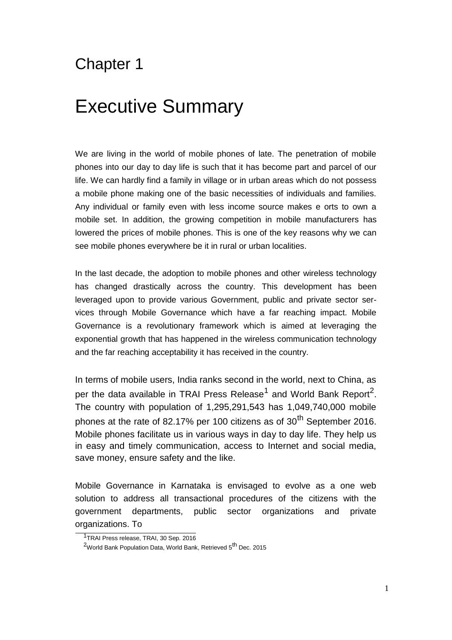# Chapter 1

# Executive Summary

We are living in the world of mobile phones of late. The penetration of mobile phones into our day to day life is such that it has become part and parcel of our life. We can hardly find a family in village or in urban areas which do not possess a mobile phone making one of the basic necessities of individuals and families. Any individual or family even with less income source makes e orts to own a mobile set. In addition, the growing competition in mobile manufacturers has lowered the prices of mobile phones. This is one of the key reasons why we can see mobile phones everywhere be it in rural or urban localities.

In the last decade, the adoption to mobile phones and other wireless technology has changed drastically across the country. This development has been leveraged upon to provide various Government, public and private sector services through Mobile Governance which have a far reaching impact. Mobile Governance is a revolutionary framework which is aimed at leveraging the exponential growth that has happened in the wireless communication technology and the far reaching acceptability it has received in the country.

In terms of mobile users, India ranks second in the world, next to China, as per the data available in TRAI Press Release<sup>1</sup> and World Bank Report<sup>2</sup>. The country with population of 1,295,291,543 has 1,049,740,000 mobile phones at the rate of 82.17% per 100 citizens as of  $30<sup>th</sup>$  September 2016. Mobile phones facilitate us in various ways in day to day life. They help us in easy and timely communication, access to Internet and social media, save money, ensure safety and the like.

Mobile Governance in Karnataka is envisaged to evolve as a one web solution to address all transactional procedures of the citizens with the government departments, public sector organizations and private organizations. To

<sup>&</sup>lt;sup>1</sup>TRAI Press release, TRAI, 30 Sep. 2016

<sup>&</sup>lt;sup>2</sup>World Bank Population Data, World Bank, Retrieved 5<sup>th</sup> Dec. 2015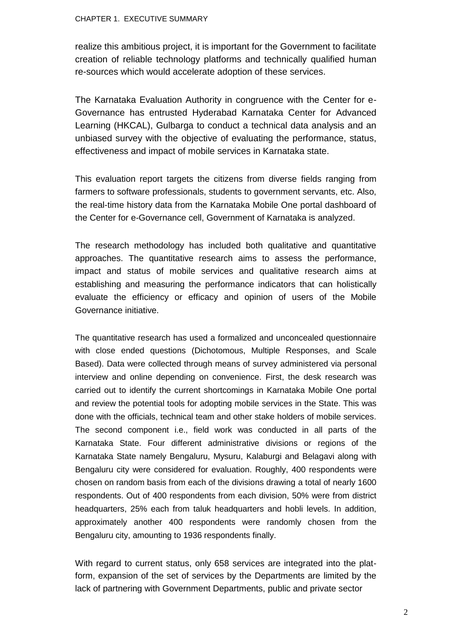#### CHAPTER 1. EXECUTIVE SUMMARY

realize this ambitious project, it is important for the Government to facilitate creation of reliable technology platforms and technically qualified human re-sources which would accelerate adoption of these services.

The Karnataka Evaluation Authority in congruence with the Center for e-Governance has entrusted Hyderabad Karnataka Center for Advanced Learning (HKCAL), Gulbarga to conduct a technical data analysis and an unbiased survey with the objective of evaluating the performance, status, effectiveness and impact of mobile services in Karnataka state.

This evaluation report targets the citizens from diverse fields ranging from farmers to software professionals, students to government servants, etc. Also, the real-time history data from the Karnataka Mobile One portal dashboard of the Center for e-Governance cell, Government of Karnataka is analyzed.

The research methodology has included both qualitative and quantitative approaches. The quantitative research aims to assess the performance, impact and status of mobile services and qualitative research aims at establishing and measuring the performance indicators that can holistically evaluate the efficiency or efficacy and opinion of users of the Mobile Governance initiative.

The quantitative research has used a formalized and unconcealed questionnaire with close ended questions (Dichotomous, Multiple Responses, and Scale Based). Data were collected through means of survey administered via personal interview and online depending on convenience. First, the desk research was carried out to identify the current shortcomings in Karnataka Mobile One portal and review the potential tools for adopting mobile services in the State. This was done with the officials, technical team and other stake holders of mobile services. The second component i.e., field work was conducted in all parts of the Karnataka State. Four different administrative divisions or regions of the Karnataka State namely Bengaluru, Mysuru, Kalaburgi and Belagavi along with Bengaluru city were considered for evaluation. Roughly, 400 respondents were chosen on random basis from each of the divisions drawing a total of nearly 1600 respondents. Out of 400 respondents from each division, 50% were from district headquarters, 25% each from taluk headquarters and hobli levels. In addition, approximately another 400 respondents were randomly chosen from the Bengaluru city, amounting to 1936 respondents finally.

With regard to current status, only 658 services are integrated into the platform, expansion of the set of services by the Departments are limited by the lack of partnering with Government Departments, public and private sector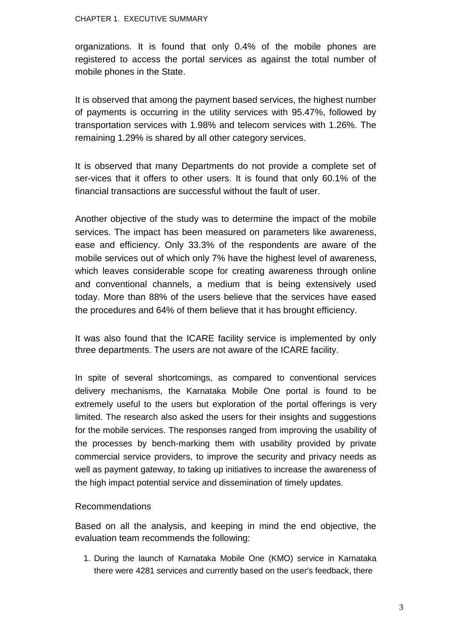#### CHAPTER 1. EXECUTIVE SUMMARY

organizations. It is found that only 0.4% of the mobile phones are registered to access the portal services as against the total number of mobile phones in the State.

It is observed that among the payment based services, the highest number of payments is occurring in the utility services with 95.47%, followed by transportation services with 1.98% and telecom services with 1.26%. The remaining 1.29% is shared by all other category services.

It is observed that many Departments do not provide a complete set of ser-vices that it offers to other users. It is found that only 60.1% of the financial transactions are successful without the fault of user.

Another objective of the study was to determine the impact of the mobile services. The impact has been measured on parameters like awareness, ease and efficiency. Only 33.3% of the respondents are aware of the mobile services out of which only 7% have the highest level of awareness, which leaves considerable scope for creating awareness through online and conventional channels, a medium that is being extensively used today. More than 88% of the users believe that the services have eased the procedures and 64% of them believe that it has brought efficiency.

It was also found that the ICARE facility service is implemented by only three departments. The users are not aware of the ICARE facility.

In spite of several shortcomings, as compared to conventional services delivery mechanisms, the Karnataka Mobile One portal is found to be extremely useful to the users but exploration of the portal offerings is very limited. The research also asked the users for their insights and suggestions for the mobile services. The responses ranged from improving the usability of the processes by bench-marking them with usability provided by private commercial service providers, to improve the security and privacy needs as well as payment gateway, to taking up initiatives to increase the awareness of the high impact potential service and dissemination of timely updates.

## Recommendations

Based on all the analysis, and keeping in mind the end objective, the evaluation team recommends the following:

1. During the launch of Karnataka Mobile One (KMO) service in Karnataka there were 4281 services and currently based on the user's feedback, there